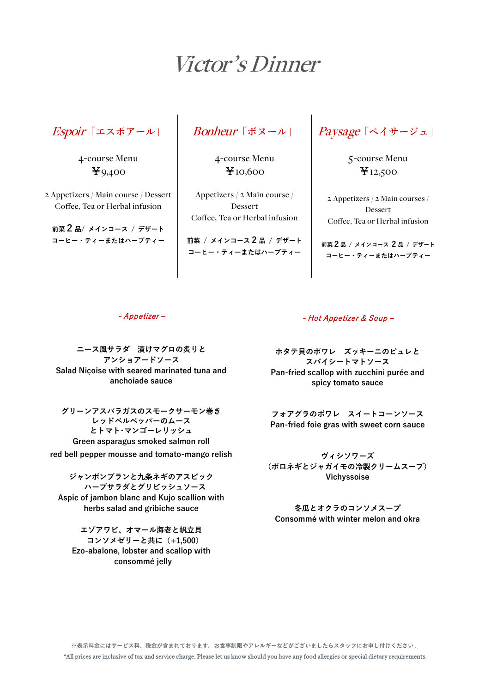# Victor's Dinner

Espoir**「エスポアール」**

4-course Menu ¥9,400

2 Appetizers / Main course / Dessert Coffee, Tea or Herbal infusion

**前菜 2 <sup>品</sup>/ メインコース / デザート コーヒー・ティーまたはハーブティー**

## Bonheur**「ボヌール」**

4-course Menu ¥10,600

Appetizers / 2 Main course / Dessert Coffee, Tea or Herbal infusion

**前菜 / メインコース 2 品 / デザート コーヒー・ティーまたはハーブティー**

Paysage**「ペイサージュ」**

5-course Menu ¥12,500

2 Appetizers / 2 Main courses / Dessert Coffee, Tea or Herbal infusion

**前菜2品 / メインコース 2 品 / デザート コーヒー・ティーまたはハーブティー**

#### - Appetizer ‒

**ニース風サラダ 漬けマグロの炙りと アンショアードソース Salad Niçoise with seared marinated tuna and anchoiade sauce**

**グリーンアスパラガスのスモークサーモン巻き レッドベルペッパーのムース とトマト・マンゴーレリッシュ Green asparagus smoked salmon roll red bell pepper mousse and tomato-mango relish**

**ジャンボンブランと九条ネギのアスピック ハーブサラダとグリビッシュソース Aspic of jambon blanc and Kujo scallion with herbs salad and gribiche sauce**

**エゾアワビ、オマール海老と帆立貝 コンソメゼリーと共に(+1,500) Ezo-abalone, lobster and scallop with consommé jelly**

### - Hot Appetizer & Soup -

**ホタテ貝のポワレ ズッキーニのピュレと スパイシートマトソース Pan-fried scallop with zucchini purée and spicy tomato sauce**

**フォアグラのポワレ スイートコーンソース Pan-fried foie gras with sweet corn sauce**

**ヴィシソワーズ (ポロネギとジャガイモの冷製クリームスープ) Vichyssoise**

**冬瓜とオクラのコンソメスープ Consommé with winter melon and okra**

**※表示料金にはサービス料、税金が含まれております。お食事制限やアレルギーなどがございましたらスタッフにお申し付けください。** \*All prices are inclusive of tax and service charge. Please let us know should you have any food allergies or special dietary requirements.